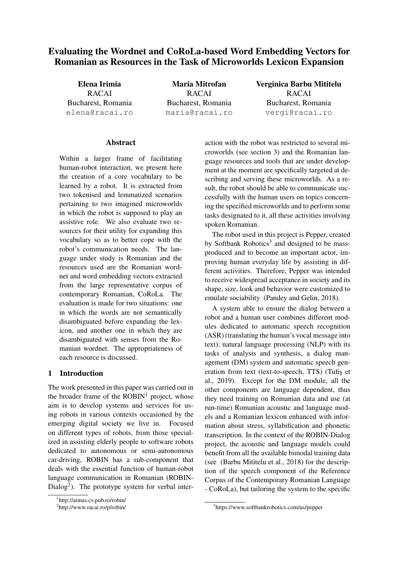# Evaluating the Wordnet and CoRoLa-based Word Embedding Vectors for Romanian as Resources in the Task of Microworlds Lexicon Expansion

Elena Irimia RACAI Bucharest, Romania elena@racai.ro

Maria Mitrofan RACAI Bucharest, Romania maria@racai.ro

## Verginica Barbu Mititelu RACAI Bucharest, Romania vergi@racai.ro

### Abstract

Within a larger frame of facilitating human-robot interaction, we present here the creation of a core vocabulary to be learned by a robot. It is extracted from two tokenised and lemmatized scenarios pertaining to two imagined microworlds in which the robot is supposed to play an assistive role. We also evaluate two resources for their utility for expanding this vocabulary so as to better cope with the robot's communication needs. The language under study is Romanian and the resources used are the Romanian wordnet and word embedding vectors extracted from the large representative corpus of contemporary Romanian, CoRoLa. The evaluation is made for two situations: one in which the words are not semantically disambiguated before expanding the lexicon, and another one in which they are disambiguated with senses from the Romanian wordnet. The appropriateness of each resource is discussed.

### 1 Introduction

The work presented in this paper was carried out in the broader frame of the  $ROBIN<sup>1</sup>$  project, whose aim is to develop systems and services for using robots in various contexts occasioned by the emerging digital society we live in. Focused on different types of robots, from those specialized in assisting elderly people to software robots dedicated to autonomous or semi-autonomous car-driving, ROBIN has a sub-component that deals with the essential function of human-robot language communication in Romanian (ROBIN-Dialog<sup>2</sup>). The prototype system for verbal inter-

action with the robot was restricted to several microworlds (see section 3) and the Romanian language resources and tools that are under development at the moment are specifically targeted at describing and serving these microworlds. As a result, the robot should be able to communicate successfully with the human users on topics concerning the specified microworlds and to perform some tasks designated to it, all these activities involving spoken Romanian.

The robot used in this project is Pepper, created by Softbank Robotics<sup>3</sup> and designed to be massproduced and to become an important actor, improving human everyday life by assisting in different activities. Therefore, Pepper was intended to receive widespread acceptance in society and its shape, size, look and behavior were customized to emulate sociability (Pandey and Gelin, 2018).

A system able to ensure the dialog between a robot and a human user combines different modules dedicated to automatic speech recognition (ASR) (translating the human's vocal message into text), natural language processing (NLP) with its tasks of analysis and synthesis, a dialog management (DM) system and automatic speech generation from text (text-to-speech, TTS) (Tufis et al., 2019). Except for the DM module, all the other components are language dependent, thus they need training on Romanian data and use (at run-time) Romanian acoustic and language models and a Romanian lexicon enhanced with information about stress, syllabification and phonetic transcription. In the context of the ROBIN-Dialog project, the acoustic and language models could benefit from all the available bimodal training data (see (Barbu Mititelu et al., 2018) for the description of the speech component of the Reference Corpus of the Contemporary Romanian Language - CoRoLa), but tailoring the system to the specific

<sup>1</sup> http://aimas.cs.pub.ro/robin/

<sup>&</sup>lt;sup>2</sup>http://www.racai.ro/p/robin/

<sup>3</sup> https://www.softbankrobotics.com/us/pepper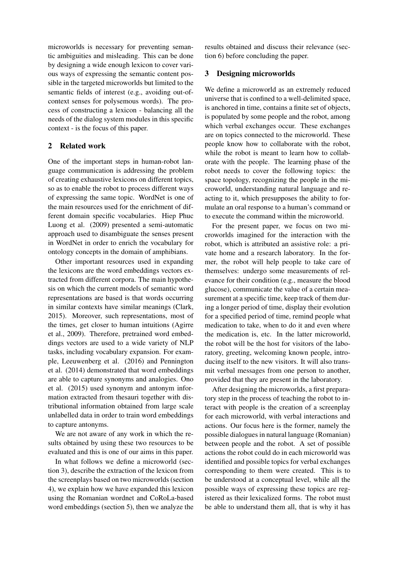microworlds is necessary for preventing semantic ambiguities and misleading. This can be done by designing a wide enough lexicon to cover various ways of expressing the semantic content possible in the targeted microworlds but limited to the semantic fields of interest (e.g., avoiding out-ofcontext senses for polysemous words). The process of constructing a lexicon - balancing all the needs of the dialog system modules in this specific context - is the focus of this paper.

### 2 Related work

One of the important steps in human-robot language communication is addressing the problem of creating exhaustive lexicons on different topics, so as to enable the robot to process different ways of expressing the same topic. WordNet is one of the main resources used for the enrichment of different domain specific vocabularies. Hiep Phuc Luong et al. (2009) presented a semi-automatic approach used to disambiguate the senses present in WordNet in order to enrich the vocabulary for ontology concepts in the domain of amphibians.

Other important resources used in expanding the lexicons are the word embeddings vectors extracted from different corpora. The main hypothesis on which the current models of semantic word representations are based is that words occurring in similar contexts have similar meanings (Clark, 2015). Moreover, such representations, most of the times, get closer to human intuitions (Agirre et al., 2009). Therefore, pretrained word embeddings vectors are used to a wide variety of NLP tasks, including vocabulary expansion. For example, Leeuwenberg et al. (2016) and Pennington et al. (2014) demonstrated that word embeddings are able to capture synonyms and analogies. Ono et al. (2015) used synonym and antonym information extracted from thesauri together with distributional information obtained from large scale unlabelled data in order to train word embeddings to capture antonyms.

We are not aware of any work in which the results obtained by using these two resources to be evaluated and this is one of our aims in this paper.

In what follows we define a microworld (section 3), describe the extraction of the lexicon from the screenplays based on two microworlds (section 4), we explain how we have expanded this lexicon using the Romanian wordnet and CoRoLa-based word embeddings (section 5), then we analyze the results obtained and discuss their relevance (section 6) before concluding the paper.

#### 3 Designing microworlds

We define a microworld as an extremely reduced universe that is confined to a well-delimited space, is anchored in time, contains a finite set of objects, is populated by some people and the robot, among which verbal exchanges occur. These exchanges are on topics connected to the microworld. These people know how to collaborate with the robot, while the robot is meant to learn how to collaborate with the people. The learning phase of the robot needs to cover the following topics: the space topology, recognizing the people in the microworld, understanding natural language and reacting to it, which presupposes the ability to formulate an oral response to a human's command or to execute the command within the microworld.

For the present paper, we focus on two microworlds imagined for the interaction with the robot, which is attributed an assistive role: a private home and a research laboratory. In the former, the robot will help people to take care of themselves: undergo some measurements of relevance for their condition (e.g., measure the blood glucose), communicate the value of a certain measurement at a specific time, keep track of them during a longer period of time, display their evolution for a specified period of time, remind people what medication to take, when to do it and even where the medication is, etc. In the latter microworld, the robot will be the host for visitors of the laboratory, greeting, welcoming known people, introducing itself to the new visitors. It will also transmit verbal messages from one person to another, provided that they are present in the laboratory.

After designing the microworlds, a first preparatory step in the process of teaching the robot to interact with people is the creation of a screenplay for each microworld, with verbal interactions and actions. Our focus here is the former, namely the possible dialogues in natural language (Romanian) between people and the robot. A set of possible actions the robot could do in each microworld was identified and possible topics for verbal exchanges corresponding to them were created. This is to be understood at a conceptual level, while all the possible ways of expressing these topics are registered as their lexicalized forms. The robot must be able to understand them all, that is why it has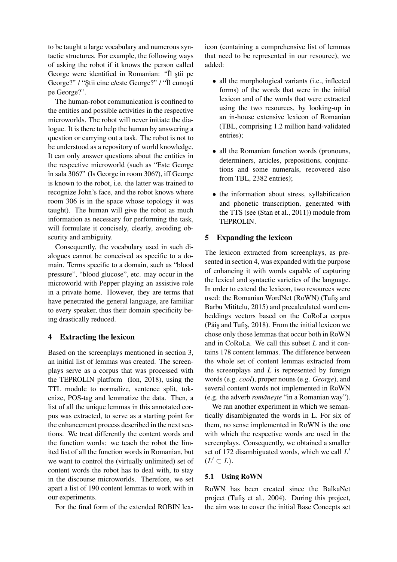to be taught a large vocabulary and numerous syntactic structures. For example, the following ways of asking the robot if it knows the person called George were identified in Romanian: "Îl știi pe George?" / "Ştii cine e/este George?" / "Îl cunoști pe George?".

The human-robot communication is confined to the entities and possible activities in the respective microworlds. The robot will never initiate the dialogue. It is there to help the human by answering a question or carrying out a task. The robot is not to be understood as a repository of world knowledge. It can only answer questions about the entities in the respective microworld (such as "Este George în sala 306?" (Is George in room 306?), iff George is known to the robot, i.e. the latter was trained to recognize John's face, and the robot knows where room 306 is in the space whose topology it was taught). The human will give the robot as much information as necessary for performing the task, will formulate it concisely, clearly, avoiding obscurity and ambiguity.

Consequently, the vocabulary used in such dialogues cannot be conceived as specific to a domain. Terms specific to a domain, such as "blood pressure", "blood glucose", etc. may occur in the microworld with Pepper playing an assistive role in a private home. However, they are terms that have penetrated the general language, are familiar to every speaker, thus their domain specificity being drastically reduced.

### 4 Extracting the lexicon

Based on the screenplays mentioned in section 3, an initial list of lemmas was created. The screenplays serve as a corpus that was processed with the TEPROLIN platform (Ion, 2018), using the TTL module to normalize, sentence split, tokenize, POS-tag and lemmatize the data. Then, a list of all the unique lemmas in this annotated corpus was extracted, to serve as a starting point for the enhancement process described in the next sections. We treat differently the content words and the function words: we teach the robot the limited list of all the function words in Romanian, but we want to control the (virtually unlimited) set of content words the robot has to deal with, to stay in the discourse microworlds. Therefore, we set apart a list of 190 content lemmas to work with in our experiments.

For the final form of the extended ROBIN lex-

icon (containing a comprehensive list of lemmas that need to be represented in our resource), we added:

- all the morphological variants (i.e., inflected forms) of the words that were in the initial lexicon and of the words that were extracted using the two resources, by looking-up in an in-house extensive lexicon of Romanian (TBL, comprising 1.2 million hand-validated entries);
- all the Romanian function words (pronouns, determiners, articles, prepositions, conjunctions and some numerals, recovered also from TBL, 2382 entries);
- the information about stress, syllabification and phonetic transcription, generated with the TTS (see (Stan et al., 2011)) module from TEPROLIN.

### 5 Expanding the lexicon

The lexicon extracted from screenplays, as presented in section 4, was expanded with the purpose of enhancing it with words capable of capturing the lexical and syntactic varieties of the language. In order to extend the lexicon, two resources were used: the Romanian WordNet (RoWN) (Tufiş and Barbu Mititelu, 2015) and precalculated word embeddings vectors based on the CoRoLa corpus (Păiş and Tufiş,  $2018$ ). From the initial lexicon we chose only those lemmas that occur both in RoWN and in CoRoLa. We call this subset *L* and it contains 178 content lemmas. The difference between the whole set of content lemmas extracted from the screenplays and *L* is represented by foreign words (e.g. *cool*), proper nouns (e.g. *George*), and several content words not implemented in RoWN (e.g. the adverb *românește* "in a Romanian way").

We ran another experiment in which we semantically disambiguated the words in L. For six of them, no sense implemented in RoWN is the one with which the respective words are used in the screenplays. Consequently, we obtained a smaller set of 172 disambiguated words, which we call  $L'$  $(L' \subset L).$ 

#### 5.1 Using RoWN

RoWN has been created since the BalkaNet project (Tufiş et al., 2004). During this project, the aim was to cover the initial Base Concepts set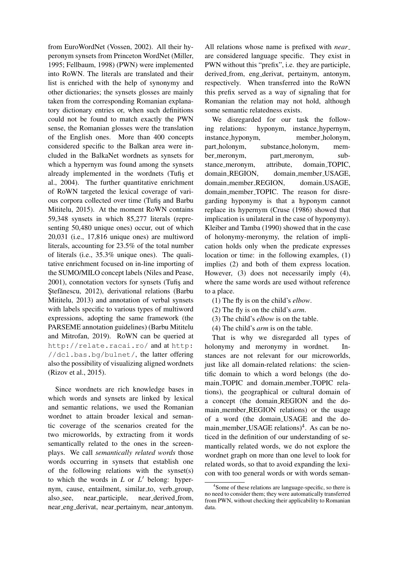from EuroWordNet (Vossen, 2002). All their hyperonym synsets from Princeton WordNet (Miller, 1995; Fellbaum, 1998) (PWN) were implemented into RoWN. The literals are translated and their list is enriched with the help of synonymy and other dictionaries; the synsets glosses are mainly taken from the corresponding Romanian explanatory dictionary entries or, when such definitions could not be found to match exactly the PWN sense, the Romanian glosses were the translation of the English ones. More than 400 concepts considered specific to the Balkan area were included in the BalkaNet wordnets as synsets for which a hypernym was found among the synsets already implemented in the wordnets (Tufis et al., 2004). The further quantitative enrichment of RoWN targeted the lexical coverage of various corpora collected over time (Tufis and Barbu Mititelu, 2015). At the moment RoWN contains 59,348 synsets in which 85,277 literals (representing 50,480 unique ones) occur, out of which 20,031 (i.e., 17,816 unique ones) are multiword literals, accounting for 23.5% of the total number of literals (i.e., 35.3% unique ones). The qualitative enrichment focused on in-line importing of the SUMO/MILO concept labels (Niles and Pease, 2001), connotation vectors for synsets (Tufis and Stefănescu, 2012), derivational relations (Barbu Mititelu, 2013) and annotation of verbal synsets with labels specific to various types of multiword expressions, adopting the same framework (the PARSEME annotation guidelines) (Barbu Mititelu and Mitrofan, 2019). RoWN can be queried at http://relate.racai.ro/ and at http: //dcl.bas.bg/bulnet/, the latter offering also the possibility of visualizing aligned wordnets (Rizov et al., 2015).

Since wordnets are rich knowledge bases in which words and synsets are linked by lexical and semantic relations, we used the Romanian wordnet to attain broader lexical and semantic coverage of the scenarios created for the two microworlds, by extracting from it words semantically related to the ones in the screenplays. We call *semantically related words* those words occurring in synsets that establish one of the following relations with the synset(s) to which the words in  $L$  or  $L'$  belong: hypernym, cause, entailment, similar\_to, verb\_group, also see, near participle, near derived from, near eng derivat, near pertainym, near antonym.

All relations whose name is prefixed with *near* are considered language specific. They exist in PWN without this "prefix", i.e. they are participle, derived from, eng derivat, pertainym, antonym, respectively. When transferred into the RoWN this prefix served as a way of signaling that for Romanian the relation may not hold, although some semantic relatedness exists.

We disregarded for our task the following relations: hyponym, instance hypernym, instance hyponym, member holonym, part holonym, substance holonym, member meronym, part meronym, substance meronym, attribute, domain TOPIC, domain REGION, domain member USAGE, domain member REGION, domain USAGE, domain\_member\_TOPIC. The reason for disregarding hyponymy is that a hyponym cannot replace its hypernym (Cruse (1986) showed that implication is unilateral in the case of hyponymy). Kleiber and Tamba (1990) showed that in the case of holonymy-meronymy, the relation of implication holds only when the predicate expresses location or time: in the following examples, (1) implies (2) and both of them express location. However, (3) does not necessarily imply (4), where the same words are used without reference to a place.

- (1) The fly is on the child's *elbow*.
- (2) The fly is on the child's *arm*.
- (3) The child's *elbow* is on the table.
- (4) The child's *arm* is on the table.

That is why we disregarded all types of holonymy and meronymy in wordnet. Instances are not relevant for our microworlds, just like all domain-related relations: the scientific domain to which a word belongs (the domain TOPIC and domain member TOPIC relations), the geographical or cultural domain of a concept (the domain REGION and the domain member REGION relations) or the usage of a word (the domain USAGE and the domain\_member\_USAGE relations)<sup>4</sup>. As can be noticed in the definition of our understanding of semantically related words, we do not explore the wordnet graph on more than one level to look for related words, so that to avoid expanding the lexicon with too general words or with words seman-

<sup>&</sup>lt;sup>4</sup>Some of these relations are language-specific, so there is no need to consider them; they were automatically transferred from PWN, without checking their applicability to Romanian data.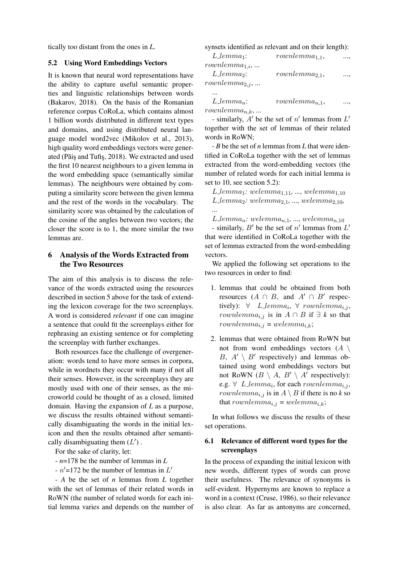tically too distant from the ones in *L*.

#### 5.2 Using Word Embeddings Vectors

It is known that neural word representations have the ability to capture useful semantic properties and linguistic relationships between words (Bakarov, 2018). On the basis of the Romanian reference corpus CoRoLa, which contains almost 1 billion words distributed in different text types and domains, and using distributed neural language model word2vec (Mikolov et al., 2013), high quality word embeddings vectors were generated (Păiş and Tufiş, 2018). We extracted and used the first 10 nearest neighbours to a given lemma in the word embedding space (semantically similar lemmas). The neighbours were obtained by computing a similarity score between the given lemma and the rest of the words in the vocabulary. The similarity score was obtained by the calculation of the cosine of the angles between two vectors; the closer the score is to 1, the more similar the two lemmas are.

### 6 Analysis of the Words Extracted from the Two Resources

The aim of this analysis is to discuss the relevance of the words extracted using the resources described in section 5 above for the task of extending the lexicon coverage for the two screenplays. A word is considered *relevant* if one can imagine a sentence that could fit the screenplays either for rephrasing an existing sentence or for completing the screenplay with further exchanges.

Both resources face the challenge of overgeneration: words tend to have more senses in corpora, while in wordnets they occur with many if not all their senses. However, in the screenplays they are mostly used with one of their senses, as the microworld could be thought of as a closed, limited domain. Having the expansion of *L* as a purpose, we discuss the results obtained without semantically disambiguating the words in the initial lexicon and then the results obtained after semantically disambiguating them  $(L')$ .

For the sake of clarity, let:

- *n*=178 be the number of lemmas in *L*

 $-n'$ =172 be the number of lemmas in  $L'$ 

- *A* be the set of *n* lemmas from *L* together with the set of lemmas of their related words in RoWN (the number of related words for each initial lemma varies and depends on the number of synsets identified as relevant and on their length):

| $L$ -lemma <sub>1</sub> : | $rown lemma_{1.1},$ | $\cdots$  |
|---------------------------|---------------------|-----------|
| $rown lemma_{1,i}, $      |                     |           |
| $L$ lemma <sub>2</sub> :  | $rown lemma_{2.1},$ | $\ldots,$ |
| $rown lemma_{2,j}, $      |                     |           |
|                           |                     |           |

| $L$ -lemma <sub>n</sub> : | $rown lemma_{n,1},$ | , |
|---------------------------|---------------------|---|
| $rown lemma_{n,k}, $      |                     |   |

- similarly,  $A'$  be the set of  $n'$  lemmas from  $L'$ together with the set of lemmas of their related words in RoWN;

- *B* be the set of *n* lemmas from *L* that were identified in CoRoLa together with the set of lemmas extracted from the word-embedding vectors (the number of related words for each initial lemma is set to 10, see section 5.2):

 $L$ *-lemma*<sub>1</sub>*:* welemma<sub>1,11</sub>*, ...,* welemma<sub>1,10</sub>  $L$ *-lemma*<sub>2</sub>*:* welemma<sub>2,1</sub>*, ...,* welemma<sub>2,10</sub>*,* 

 $L$ -lemma<sub>n</sub>: welemma<sub>n,1</sub>, ..., welemma<sub>n,10</sub>

*...*

- similarly,  $B'$  be the set of  $n'$  lemmas from  $L'$ that were identified in CoRoLa together with the set of lemmas extracted from the word-embedding vectors.

We applied the following set operations to the two resources in order to find:

- 1. lemmas that could be obtained from both resources  $(A \cap B,$  and  $A' \cap B'$  respectively):  $\forall$  L\_lemma<sub>i</sub>,  $\forall$  rownlemma<sub>i,j</sub>, *rownlemma<sub>i,j</sub>* is in  $A ∩ B$  if  $\exists k$  so that  $rownlemma_{i,j} = welemma_{i,k};$
- 2. lemmas that were obtained from RoWN but not from word embeddings vectors  $(A \setminus$ B,  $A' \setminus B'$  respectively) and lemmas obtained using word embeddings vectors but not RoWN  $(B \setminus A, B' \setminus A'$  respectively): e.g.  $\forall$  L\_lemma<sub>i</sub>, for each rownlemma<sub>i,j</sub>, *rownlemma<sub>i,j</sub>* is in  $A \setminus B$  if there is no *k* so that rownlemma<sub>i,j</sub> = welemma<sub>i,k</sub>;

In what follows we discuss the results of these set operations.

### 6.1 Relevance of different word types for the screenplays

In the process of expanding the initial lexicon with new words, different types of words can prove their usefulness. The relevance of synonyms is self-evident. Hypernyms are known to replace a word in a context (Cruse, 1986), so their relevance is also clear. As far as antonyms are concerned,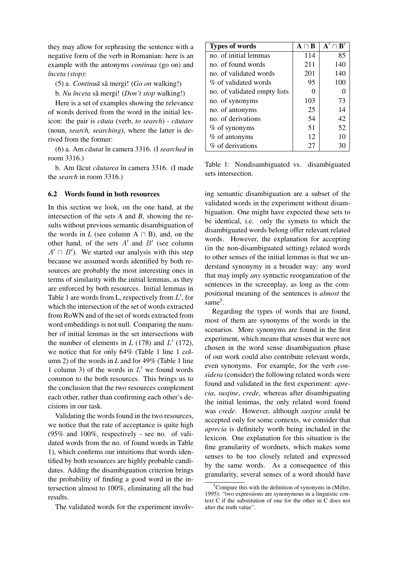they may allow for rephrasing the sentence with a negative form of the verb in Romanian: here is an example with the antonyms *continua* (go on) and *ˆınceta (stop)*:

(5) a. *Continuă* să mergi! (Go on walking!)

b. *Nu înceta* să mergi! (*Don't stop* walking!)

Here is a set of examples showing the relevance of words derived from the word in the initial lex*icon:* the pair is *căuta* (verb, *to search*) - *căutare* (noun, *search, searching*), where the latter is derived from the former:

(6) a. Am *cautat ˘* ˆın camera 3316. (I *searched* in room 3316.)

b. Am făcut *căutarea* în camera 3316. (I made the *search* in room 3316.)

#### 6.2 Words found in both resources

In this section we look, on the one hand, at the intersection of the sets *A* and *B*, showing the results without previous semantic disambiguation of the words in  $L$  (see column A  $\cap$  B), and, on the other hand, of the sets  $A'$  and  $B'$  (see column  $A' \cap B'$ ). We started our analysis with this step because we assumed words identified by both resources are probably the most interesting ones in terms of similarity with the initial lemmas, as they are enforced by both resources. Initial lemmas in Table 1 are words from L, respectively from  $L'$ , for which the intersection of the set of words extracted from RoWN and of the set of words extracted from word embeddings is not null. Comparing the number of initial lemmas in the set intersections with the number of elements in  $L(178)$  and  $L'(172)$ , we notice that for only 64% (Table 1 line 1 column 2) of the words in *L* and for 49% (Table 1 line 1 column 3) of the words in  $L'$  we found words common to the both resources. This brings us to the conclusion that the two resources complement each other, rather than confirming each other's decisions in our task.

Validating the words found in the two resources, we notice that the rate of acceptance is quite high (95% and 100%, respectively - see no. of validated words from the no. of found words in Table 1), which confirms our intuitions that words identified by both resources are highly probable candidates. Adding the disambiguation criterion brings the probability of finding a good word in the intersection almost to 100%, eliminating all the bad results.

The validated words for the experiment involv-

| <b>Types of words</b>        | $A \cap B$ | ${\bf A}' \cap {\bf B}'$ |
|------------------------------|------------|--------------------------|
| no. of initial lemmas        | 114        | 85                       |
| no. of found words           | 211        | 140                      |
| no. of validated words       | 201        | 140                      |
| % of validated words         | 95         | 100                      |
| no. of validated empty lists |            |                          |
| no. of synonyms              | 103        | 73                       |
| no. of antonyms              | 25         | 14                       |
| no. of derivations           | 54         | 42                       |
| $%$ of synonyms              | 51         | 52                       |
| $%$ of antonyms              | 12         | 10                       |
| % of derivations             | 27         | 30                       |

Table 1: Nondisambiguated vs. disambiguated sets intersection.

ing semantic disambiguation are a subset of the validated words in the experiment without disambiguation. One might have expected these sets to be identical, i.e. only the synsets to which the disambiguated words belong offer relevant related words. However, the explanation for accepting (in the non-disambiguated setting) related words to other senses of the initial lemmas is that we understand synonymy in a broader way: any word that may imply *any* syntactic reorganization of the sentences in the screenplay, as long as the compositional meaning of the sentences is *almost* the same<sup>5</sup>.

Regarding the types of words that are found, most of them are synonyms of the words in the scenarios. More synonyms are found in the first experiment, which means that senses that were not chosen in the word sense disambiguation phase of our work could also contribute relevant words, even synonyms. For example, for the verb *considera* (consider) the following related words were found and validated in the first experiment: *aprecia*, *sustine*, *crede*, whereas after disambiguating the initial lemmas, the only related word found was *crede*. However, although *sustine* could be accepted only for some contexts, we consider that *aprecia* is definitely worth being included in the lexicon. One explanation for this situation is the fine granularity of wordnets, which makes some senses to be too closely related and expressed by the same words. As a consequence of this granularity, several senses of a word should have

 ${}^{5}$ Compare this with the definition of synonyms in (Miller, 1995): "two expressions are synonymous in a linguistic context C if the substitution of one for the other in C does not alter the truth value".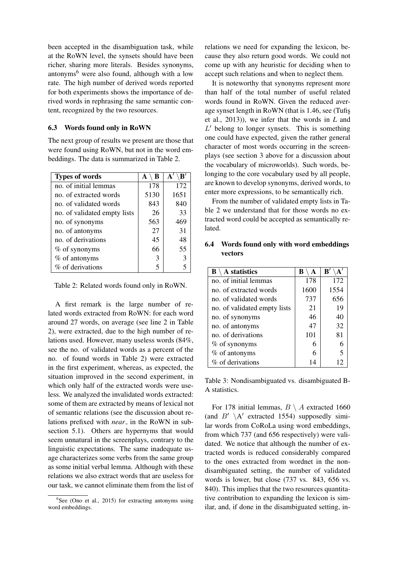been accepted in the disambiguation task, while at the RoWN level, the synsets should have been richer, sharing more literals. Besides synonyms, antonyms<sup>6</sup> were also found, although with a low rate. The high number of derived words reported for both experiments shows the importance of derived words in rephrasing the same semantic content, recognized by the two resources.

### 6.3 Words found only in RoWN

The next group of results we present are those that were found using RoWN, but not in the word embeddings. The data is summarized in Table 2.

| <b>Types of words</b>        | $\setminus$ B<br>A | $\setminus \mathbf{B}'$<br>${\bf A}^{\prime}$ |
|------------------------------|--------------------|-----------------------------------------------|
| no. of initial lemmas        | 178                | 172                                           |
| no. of extracted words       | 5130               | 1651                                          |
| no. of validated words       | 843                | 840                                           |
| no. of validated empty lists | 26                 | 33                                            |
| no. of synonyms              | 563                | 469                                           |
| no. of antonyms              | 27                 | 31                                            |
| no. of derivations           | 45                 | 48                                            |
| $%$ of synonyms              | 66                 | 55                                            |
| % of antonyms                | 3                  | 3                                             |
| % of derivations             | 5                  |                                               |

Table 2: Related words found only in RoWN.

A first remark is the large number of related words extracted from RoWN: for each word around 27 words, on average (see line 2 in Table 2), were extracted, due to the high number of relations used. However, many useless words (84%, see the no. of validated words as a percent of the no. of found words in Table 2) were extracted in the first experiment, whereas, as expected, the situation improved in the second experiment, in which only half of the extracted words were useless. We analyzed the invalidated words extracted: some of them are extracted by means of lexical not of semantic relations (see the discussion about relations prefixed with *near* in the RoWN in subsection 5.1). Others are hypernyms that would seem unnatural in the screenplays, contrary to the linguistic expectations. The same inadequate usage characterizes some verbs from the same group as some initial verbal lemma. Although with these relations we also extract words that are useless for our task, we cannot eliminate them from the list of relations we need for expanding the lexicon, because they also return good words. We could not come up with any heuristic for deciding when to accept such relations and when to neglect them.

It is noteworthy that synonyms represent more than half of the total number of useful related words found in RoWN. Given the reduced average synset length in RoWN (that is 1.46, see (Tufis¸ et al., 2013)), we infer that the words in *L* and  $L'$  belong to longer synsets. This is something one could have expected, given the rather general character of most words occurring in the screenplays (see section 3 above for a discussion about the vocabulary of microworlds). Such words, belonging to the core vocabulary used by all people, are known to develop synonyms, derived words, to enter more expressions, to be semantically rich.

From the number of validated empty lists in Table 2 we understand that for those words no extracted word could be accepted as semantically related.

### 6.4 Words found only with word embeddings vectors

| A statistics<br>$\bf{B}$     | B<br>A | $\mathbf{B}'$<br>$\mathbf{A}^\prime$ |
|------------------------------|--------|--------------------------------------|
| no. of initial lemmas        | 178    | 172                                  |
| no. of extracted words       | 1600   | 1554                                 |
| no, of validated words       | 737    | 656                                  |
| no. of validated empty lists | 21     | 19                                   |
| no. of synonyms              | 46     | 40                                   |
| no. of antonyms              | 47     | 32                                   |
| no. of derivations           | 101    | 81                                   |
| $%$ of synonyms              | 6      |                                      |
| $%$ of antonyms              | 6      |                                      |
| % of derivations             | 14     | 12                                   |

Table 3: Nondisambiguated vs. disambiguated B-A statistics.

For 178 initial lemmas,  $B \setminus A$  extracted 1660 (and  $B' \setminus A'$  extracted 1554) supposedly similar words from CoRoLa using word embeddings, from which 737 (and 656 respectively) were validated. We notice that although the number of extracted words is reduced considerably compared to the ones extracted from wordnet in the nondisambiguated setting, the number of validated words is lower, but close (737 vs. 843, 656 vs. 840). This implies that the two resources quantitative contribution to expanding the lexicon is similar, and, if done in the disambiguated setting, in-

<sup>&</sup>lt;sup>6</sup>See (Ono et al., 2015) for extracting antonyms using word embeddings.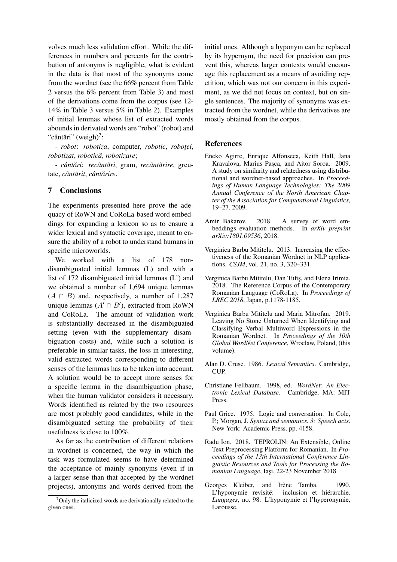volves much less validation effort. While the differences in numbers and percents for the contribution of antonyms is negligible, what is evident in the data is that most of the synonyms come from the wordnet (see the 66% percent from Table 2 versus the 6% percent from Table 3) and most of the derivations come from the corpus (see 12- 14% in Table 3 versus 5% in Table 2). Examples of initial lemmas whose list of extracted words abounds in derivated words are "robot" (robot) and "cântări" (weigh) $^7$ :

- *robot*: *robotiza*, *computer, <i>robotic, robotel, robotizat*, *robotica˘*, *robotizare*;

- *cant ˆ ari ˘* : *recant ˆ ari ˘* , gram, *recant ˆ arire ˘* , greutate, *cant ˆ arit ˘* , *cant ˆ arire ˘* .

#### 7 Conclusions

The experiments presented here prove the adequacy of RoWN and CoRoLa-based word embeddings for expanding a lexicon so as to ensure a wider lexical and syntactic coverage, meant to ensure the ability of a robot to understand humans in specific microworlds.

We worked with a list of 178 nondisambiguated initial lemmas (L) and with a list of 172 disambiguated initial lemmas (L') and we obtained a number of 1,694 unique lemmas  $(A \cap B)$  and, respectively, a number of 1,287 unique lemmas  $(A' \cap B')$ , extracted from RoWN and CoRoLa. The amount of validation work is substantially decreased in the disambiguated setting (even with the supplementary disambiguation costs) and, while such a solution is preferable in similar tasks, the loss in interesting, valid extracted words corresponding to different senses of the lemmas has to be taken into account. A solution would be to accept more senses for a specific lemma in the disambiguation phase, when the human validator considers it necessary. Words identified as related by the two resources are most probably good candidates, while in the disambiguated setting the probability of their usefulness is close to 100%.

As far as the contribution of different relations in wordnet is concerned, the way in which the task was formulated seems to have determined the acceptance of mainly synonyms (even if in a larger sense than that accepted by the wordnet projects), antonyms and words derived from the initial ones. Although a hyponym can be replaced by its hypernym, the need for precision can prevent this, whereas larger contexts would encourage this replacement as a means of avoiding repetition, which was not our concern in this experiment, as we did not focus on context, but on single sentences. The majority of synonyms was extracted from the wordnet, while the derivatives are mostly obtained from the corpus.

#### References

- Eneko Agirre, Enrique Alfonseca, Keith Hall, Jana Kravalova, Marius Paşca, and Aitor Soroa. 2009. A study on similarity and relatedness using distributional and wordnet-based approaches. In *Proceedings of Human Language Technologies: The 2009 Annual Conference of the North American Chapter of the Association for Computational Linguistics*, 19–27, 2009.
- Amir Bakarov. 2018. A survey of word embeddings evaluation methods. In *arXiv preprint arXiv:1801.09536*, 2018.
- Verginica Barbu Mititelu. 2013. Increasing the effectiveness of the Romanian Wordnet in NLP applications. *CSJM*, vol. 21, no. 3, 320–331.
- Verginica Barbu Mititelu, Dan Tufis¸, and Elena Irimia. 2018. The Reference Corpus of the Contemporary Romanian Language (CoRoLa). In *Proceedings of LREC 2018*, Japan, p.1178-1185.
- Verginica Barbu Mititelu and Maria Mitrofan. 2019. Leaving No Stone Unturned When Identifying and Classifying Verbal Multiword Expressions in the Romanian Wordnet. In *Proceedings of the 10th Global WordNet Conference*, Wroclaw, Poland, (this volume).
- Alan D. Cruse. 1986. *Lexical Semantics*. Cambridge, CUP.
- Christiane Fellbaum. 1998, ed. *WordNet: An Electronic Lexical Database*. Cambridge, MA: MIT **Press**.
- Paul Grice. 1975. Logic and conversation. In Cole, P.; Morgan, J. *Syntax and semantics. 3: Speech acts*. New York: Academic Press. pp. 4158.
- Radu Ion. 2018. TEPROLIN: An Extensible, Online Text Preprocessing Platform for Romanian. In *Proceedings of the 13th International Conference Linguistic Resources and Tools for Processing the Romanian Language*, Iasi, 22-23 November 2018
- Georges Kleiber, and Irène Tamba. 1990. L'hyponymie revisité: inclusion et hiérarchie. *Langages*, no. 98: L'hyponymie et l'hyperonymie, Larousse.

 $7$ Only the italicized words are derivationally related to the given ones.